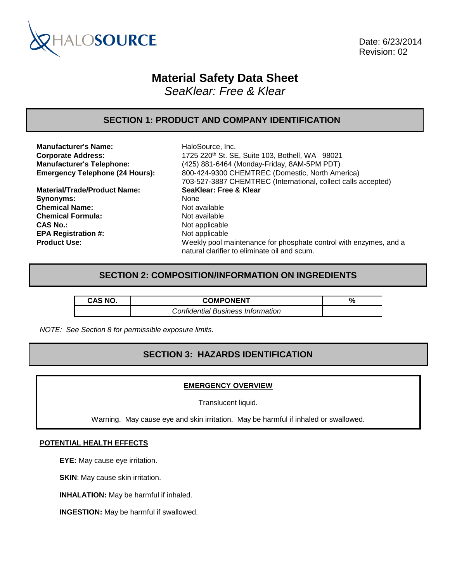

 Date: 6/23/2014 Revision: 02

# **Material Safety Data Sheet**

*SeaKlear: Free & Klear*

### **SECTION 1: PRODUCT AND COMPANY IDENTIFICATION**

**Manufacturer's Name:** HaloSource, Inc.

**Material/Trade/Product Name: SeaKlear: Free & Klear** Synonyms: None **Chemical Name:** Not available **Chemical Formula:** Not available **CAS No.:** Not applicable **EPA Registration #:** Not applicable

**Corporate Address:** 1725 220<sup>th</sup> St. SE, Suite 103, Bothell, WA 98021 **Manufacturer's Telephone:** (425) 881-6464 (Monday-Friday, 8AM-5PM PDT) **Emergency Telephone (24 Hours):** 800-424-9300 CHEMTREC (Domestic, North America) 703-527-3887 CHEMTREC (International, collect calls accepted) **Product Use:** Weekly pool maintenance for phosphate control with enzymes, and a natural clarifier to eliminate oil and scum.

### **SECTION 2: COMPOSITION/INFORMATION ON INGREDIENTS**

| <b>CAS NO.</b> | <b>COMPONENT</b>                         | % |
|----------------|------------------------------------------|---|
|                | <b>Confidential Business Information</b> |   |

*NOTE: See Section 8 for permissible exposure limits.*

# **SECTION 3: HAZARDS IDENTIFICATION**

### **EMERGENCY OVERVIEW**

Translucent liquid.

Warning. May cause eye and skin irritation. May be harmful if inhaled or swallowed.

#### **POTENTIAL HEALTH EFFECTS**

**EYE:** May cause eye irritation.

**SKIN:** May cause skin irritation.

**INHALATION:** May be harmful if inhaled.

**INGESTION:** May be harmful if swallowed.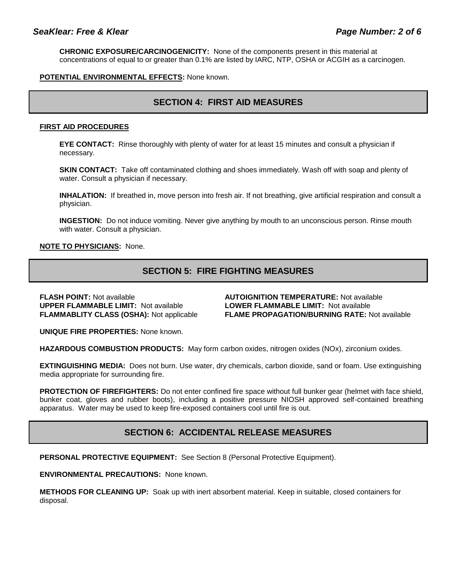**CHRONIC EXPOSURE/CARCINOGENICITY:** None of the components present in this material at concentrations of equal to or greater than 0.1% are listed by IARC, NTP, OSHA or ACGIH as a carcinogen.

### **POTENTIAL ENVIRONMENTAL EFFECTS:** None known.

### **SECTION 4: FIRST AID MEASURES**

#### **FIRST AID PROCEDURES**

**EYE CONTACT:** Rinse thoroughly with plenty of water for at least 15 minutes and consult a physician if necessary.

**SKIN CONTACT:** Take off contaminated clothing and shoes immediately. Wash off with soap and plenty of water. Consult a physician if necessary.

**INHALATION:** If breathed in, move person into fresh air. If not breathing, give artificial respiration and consult a physician.

**INGESTION:** Do not induce vomiting. Never give anything by mouth to an unconscious person. Rinse mouth with water. Consult a physician.

#### **NOTE TO PHYSICIANS:** None.

# **SECTION 5: FIRE FIGHTING MEASURES**

**FLASH POINT:** Not available **AUTOIGNITION TEMPERATURE:** Not available **UPPER FLAMMABLE LIMIT:** Not available **LOWER FLAMMABLE LIMIT:** Not available

**FLAMMABLITY CLASS (OSHA):** Not applicable **FLAME PROPAGATION/BURNING RATE:** Not available

**UNIQUE FIRE PROPERTIES:** None known.

**HAZARDOUS COMBUSTION PRODUCTS:** May form carbon oxides, nitrogen oxides (NOx), zirconium oxides.

**EXTINGUISHING MEDIA:** Does not burn. Use water, dry chemicals, carbon dioxide, sand or foam. Use extinguishing media appropriate for surrounding fire.

**PROTECTION OF FIREFIGHTERS:** Do not enter confined fire space without full bunker gear (helmet with face shield, bunker coat, gloves and rubber boots), including a positive pressure NIOSH approved self-contained breathing apparatus. Water may be used to keep fire-exposed containers cool until fire is out.

### **SECTION 6: ACCIDENTAL RELEASE MEASURES**

**PERSONAL PROTECTIVE EQUIPMENT:** See Section 8 (Personal Protective Equipment).

**ENVIRONMENTAL PRECAUTIONS:** None known.

**METHODS FOR CLEANING UP:** Soak up with inert absorbent material. Keep in suitable, closed containers for disposal.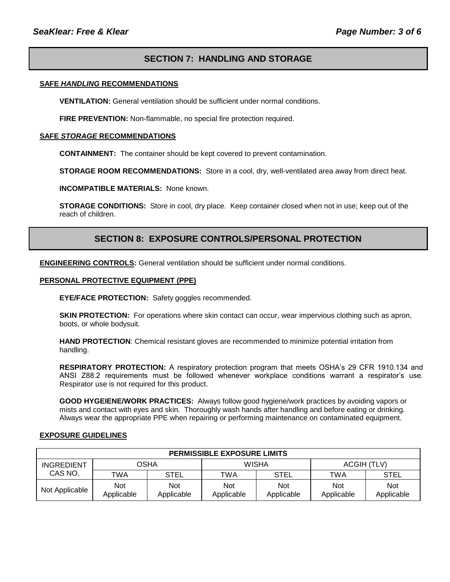# **SECTION 7: HANDLING AND STORAGE**

#### **SAFE** *HANDLING* **RECOMMENDATIONS**

**VENTILATION:** General ventilation should be sufficient under normal conditions.

**FIRE PREVENTION:** Non-flammable, no special fire protection required.

#### **SAFE** *STORAGE* **RECOMMENDATIONS**

**CONTAINMENT:** The container should be kept covered to prevent contamination.

**STORAGE ROOM RECOMMENDATIONS:** Store in a cool, dry, well-ventilated area away from direct heat.

**INCOMPATIBLE MATERIALS:** None known.

**STORAGE CONDITIONS:** Store in cool, dry place. Keep container closed when not in use; keep out of the reach of children.

### **SECTION 8: EXPOSURE CONTROLS/PERSONAL PROTECTION**

**ENGINEERING CONTROLS:** General ventilation should be sufficient under normal conditions.

#### **PERSONAL PROTECTIVE EQUIPMENT (PPE)**

**EYE/FACE PROTECTION:** Safety goggles recommended.

**SKIN PROTECTION:** For operations where skin contact can occur, wear impervious clothing such as apron, boots, or whole bodysuit.

**HAND PROTECTION**: Chemical resistant gloves are recommended to minimize potential irritation from handling.

**RESPIRATORY PROTECTION:** A respiratory protection program that meets OSHA's 29 CFR 1910.134 and ANSI Z88.2 requirements must be followed whenever workplace conditions warrant a respirator's use. Respirator use is not required for this product.

**GOOD HYGEIENE/WORK PRACTICES:** Always follow good hygiene/work practices by avoiding vapors or mists and contact with eyes and skin. Thoroughly wash hands after handling and before eating or drinking. Always wear the appropriate PPE when repairing or performing maintenance on contaminated equipment.

#### **EXPOSURE GUIDELINES**

| <b>PERMISSIBLE EXPOSURE LIMITS</b> |                   |                          |                   |                          |                          |                   |
|------------------------------------|-------------------|--------------------------|-------------------|--------------------------|--------------------------|-------------------|
| <b>INGREDIENT</b>                  | OSHA              |                          | WISHA             |                          | ACGIH (TLV)              |                   |
| CAS NO.                            | TWA               | <b>STEL</b>              | TWA               | <b>STEL</b>              | TWA                      | STEL              |
| Not Applicable                     | Not<br>Applicable | <b>Not</b><br>Applicable | Not<br>Applicable | <b>Not</b><br>Applicable | <b>Not</b><br>Applicable | Not<br>Applicable |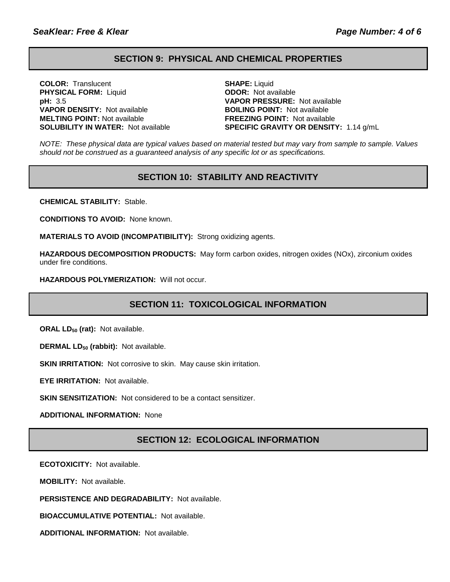### **SECTION 9: PHYSICAL AND CHEMICAL PROPERTIES**

**COLOR:** Translucent **SHAPE:** Liquid **PHYSICAL FORM:** Liquid **ODOR:** Not available **pH:** 3.5 **VAPOR PRESSURE:** Not available **VAPOR DENSITY:** Not available **BOILING POINT:** Not available **MELTING POINT:** Not available **FREEZING POINT:** Not available

**SOLUBILITY IN WATER:** Not available **SPECIFIC GRAVITY OR DENSITY:** 1.14 g/mL

*NOTE: These physical data are typical values based on material tested but may vary from sample to sample. Values should not be construed as a guaranteed analysis of any specific lot or as specifications.*

### **SECTION 10: STABILITY AND REACTIVITY**

**CHEMICAL STABILITY:** Stable.

**CONDITIONS TO AVOID:** None known.

**MATERIALS TO AVOID (INCOMPATIBILITY):** Strong oxidizing agents.

**HAZARDOUS DECOMPOSITION PRODUCTS:** May form carbon oxides, nitrogen oxides (NOx), zirconium oxides under fire conditions.

**HAZARDOUS POLYMERIZATION:** Will not occur.

# **SECTION 11: TOXICOLOGICAL INFORMATION**

**ORAL LD<sub>50</sub> (rat):** Not available.

**DERMAL LD<sup>50</sup> (rabbit):** Not available.

**SKIN IRRITATION:** Not corrosive to skin. May cause skin irritation.

**EYE IRRITATION:** Not available.

**SKIN SENSITIZATION:** Not considered to be a contact sensitizer.

**ADDITIONAL INFORMATION:** None

### **SECTION 12: ECOLOGICAL INFORMATION**

**ECOTOXICITY:** Not available.

**MOBILITY:** Not available.

**PERSISTENCE AND DEGRADABILITY:** Not available.

**BIOACCUMULATIVE POTENTIAL:** Not available.

**ADDITIONAL INFORMATION:** Not available.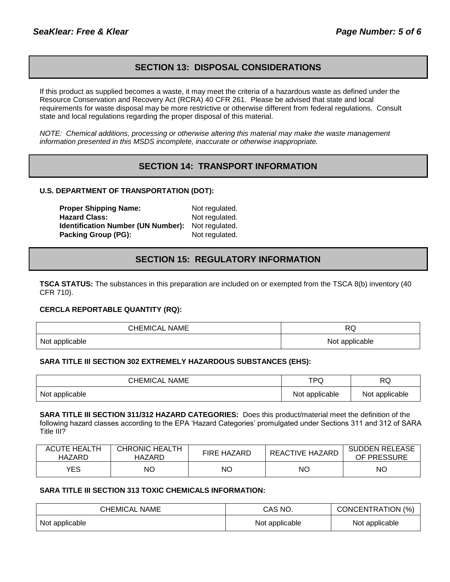### **SECTION 13: DISPOSAL CONSIDERATIONS**

If this product as supplied becomes a waste, it may meet the criteria of a hazardous waste as defined under the Resource Conservation and Recovery Act (RCRA) 40 CFR 261. Please be advised that state and local requirements for waste disposal may be more restrictive or otherwise different from federal regulations. Consult state and local regulations regarding the proper disposal of this material.

*NOTE: Chemical additions, processing or otherwise altering this material may make the waste management information presented in this MSDS incomplete, inaccurate or otherwise inappropriate.*

# **SECTION 14: TRANSPORT INFORMATION**

### **U.S. DEPARTMENT OF TRANSPORTATION (DOT):**

**Proper Shipping Name:** Not regulated. Hazard Class: Not regulated. **Identification Number (UN Number):** Not regulated. **Packing Group (PG):** Not regulated.

### **SECTION 15: REGULATORY INFORMATION**

**TSCA STATUS:** The substances in this preparation are included on or exempted from the TSCA 8(b) inventory (40 CFR 710).

#### **CERCLA REPORTABLE QUANTITY (RQ):**

| <b>CHEMICAL NAME</b> | D1<br>へしょ      |
|----------------------|----------------|
| Not applicable       | Not applicable |

#### **SARA TITLE III SECTION 302 EXTREMELY HAZARDOUS SUBSTANCES (EHS):**

| <b>CHEMICAL NAME</b> | ⊤⊳∂<br>עי      | RQ             |
|----------------------|----------------|----------------|
| Not applicable       | Not applicable | Not applicable |

**SARA TITLE III SECTION 311/312 HAZARD CATEGORIES:** Does this product/material meet the definition of the following hazard classes according to the EPA 'Hazard Categories' promulgated under Sections 311 and 312 of SARA Title III?

| <b>ACUTE HEALTH</b><br>HAZARD | <b>CHRONIC HEALTH</b><br>HAZARD | <b>FIRE HAZARD</b> | REACTIVE HAZARD | <b>SUDDEN RELEASE</b><br>OF PRESSURE |
|-------------------------------|---------------------------------|--------------------|-----------------|--------------------------------------|
| YES                           | NΟ                              | <b>NO</b>          | ΝC              | ΝO                                   |

### **SARA TITLE III SECTION 313 TOXIC CHEMICALS INFORMATION:**

| CHEMICAL NAME  | CAS NO.        | CONCENTRATION (%) |  |
|----------------|----------------|-------------------|--|
| Not applicable | Not applicable | Not applicable    |  |